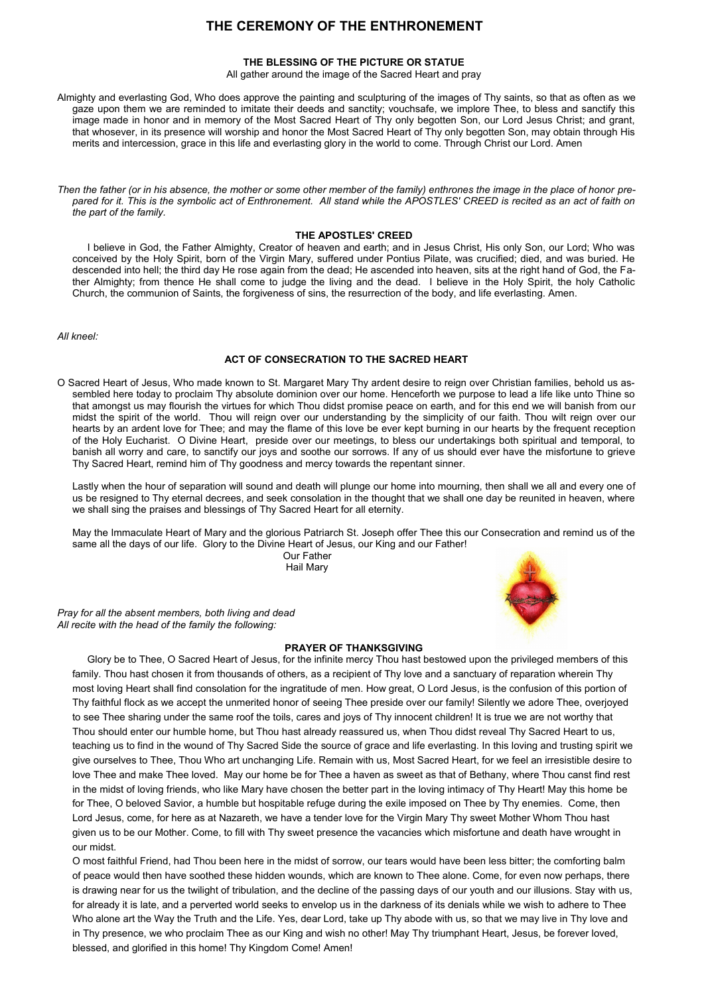# **THE CEREMONY OF THE ENTHRONEMENT**

## **THE BLESSING OF THE PICTURE OR STATUE**

All gather around the image of the Sacred Heart and pray

Almighty and everlasting God, Who does approve the painting and sculpturing of the images of Thy saints, so that as often as we gaze upon them we are reminded to imitate their deeds and sanctity; vouchsafe, we implore Thee, to bless and sanctify this image made in honor and in memory of the Most Sacred Heart of Thy only begotten Son, our Lord Jesus Christ; and grant, that whosever, in its presence will worship and honor the Most Sacred Heart of Thy only begotten Son, may obtain through His merits and intercession, grace in this life and everlasting glory in the world to come. Through Christ our Lord. Amen

*Then the father (or in his absence, the mother or some other member of the family) enthrones the image in the place of honor prepared for it. This is the symbolic act of Enthronement. All stand while the APOSTLES' CREED is recited as an act of faith on the part of the family.* 

## **THE APOSTLES' CREED**

I believe in God, the Father Almighty, Creator of heaven and earth; and in Jesus Christ, His only Son, our Lord; Who was conceived by the Holy Spirit, born of the Virgin Mary, suffered under Pontius Pilate, was crucified; died, and was buried. He descended into hell; the third day He rose again from the dead; He ascended into heaven, sits at the right hand of God, the Father Almighty; from thence He shall come to judge the living and the dead. I believe in the Holy Spirit, the holy Catholic Church, the communion of Saints, the forgiveness of sins, the resurrection of the body, and life everlasting. Amen.

*All kneel:*

# **ACT OF CONSECRATION TO THE SACRED HEART**

O Sacred Heart of Jesus, Who made known to St. Margaret Mary Thy ardent desire to reign over Christian families, behold us assembled here today to proclaim Thy absolute dominion over our home. Henceforth we purpose to lead a life like unto Thine so that amongst us may flourish the virtues for which Thou didst promise peace on earth, and for this end we will banish from our midst the spirit of the world. Thou will reign over our understanding by the simplicity of our faith. Thou wilt reign over our hearts by an ardent love for Thee; and may the flame of this love be ever kept burning in our hearts by the frequent reception of the Holy Eucharist. O Divine Heart, preside over our meetings, to bless our undertakings both spiritual and temporal, to banish all worry and care, to sanctify our joys and soothe our sorrows. If any of us should ever have the misfortune to grieve Thy Sacred Heart, remind him of Thy goodness and mercy towards the repentant sinner.

Lastly when the hour of separation will sound and death will plunge our home into mourning, then shall we all and every one of us be resigned to Thy eternal decrees, and seek consolation in the thought that we shall one day be reunited in heaven, where we shall sing the praises and blessings of Thy Sacred Heart for all eternity.

May the Immaculate Heart of Mary and the glorious Patriarch St. Joseph offer Thee this our Consecration and remind us of the same all the days of our life. Glory to the Divine Heart of Jesus, our King and our Father!

 Our Father Hail Mary





Glory be to Thee, O Sacred Heart of Jesus, for the infinite mercy Thou hast bestowed upon the privileged members of this family. Thou hast chosen it from thousands of others, as a recipient of Thy love and a sanctuary of reparation wherein Thy most loving Heart shall find consolation for the ingratitude of men. How great, O Lord Jesus, is the confusion of this portion of Thy faithful flock as we accept the unmerited honor of seeing Thee preside over our family! Silently we adore Thee, overjoyed to see Thee sharing under the same roof the toils, cares and joys of Thy innocent children! It is true we are not worthy that Thou should enter our humble home, but Thou hast already reassured us, when Thou didst reveal Thy Sacred Heart to us, teaching us to find in the wound of Thy Sacred Side the source of grace and life everlasting. In this loving and trusting spirit we



give ourselves to Thee, Thou Who art unchanging Life. Remain with us, Most Sacred Heart, for we feel an irresistible desire to love Thee and make Thee loved. May our home be for Thee a haven as sweet as that of Bethany, where Thou canst find rest in the midst of loving friends, who like Mary have chosen the better part in the loving intimacy of Thy Heart! May this home be for Thee, O beloved Savior, a humble but hospitable refuge during the exile imposed on Thee by Thy enemies. Come, then Lord Jesus, come, for here as at Nazareth, we have a tender love for the Virgin Mary Thy sweet Mother Whom Thou hast given us to be our Mother. Come, to fill with Thy sweet presence the vacancies which misfortune and death have wrought in our midst.

O most faithful Friend, had Thou been here in the midst of sorrow, our tears would have been less bitter; the comforting balm of peace would then have soothed these hidden wounds, which are known to Thee alone. Come, for even now perhaps, there is drawing near for us the twilight of tribulation, and the decline of the passing days of our youth and our illusions. Stay with us, for already it is late, and a perverted world seeks to envelop us in the darkness of its denials while we wish to adhere to Thee Who alone art the Way the Truth and the Life. Yes, dear Lord, take up Thy abode with us, so that we may live in Thy love and in Thy presence, we who proclaim Thee as our King and wish no other! May Thy triumphant Heart, Jesus, be forever loved, blessed, and glorified in this home! Thy Kingdom Come! Amen!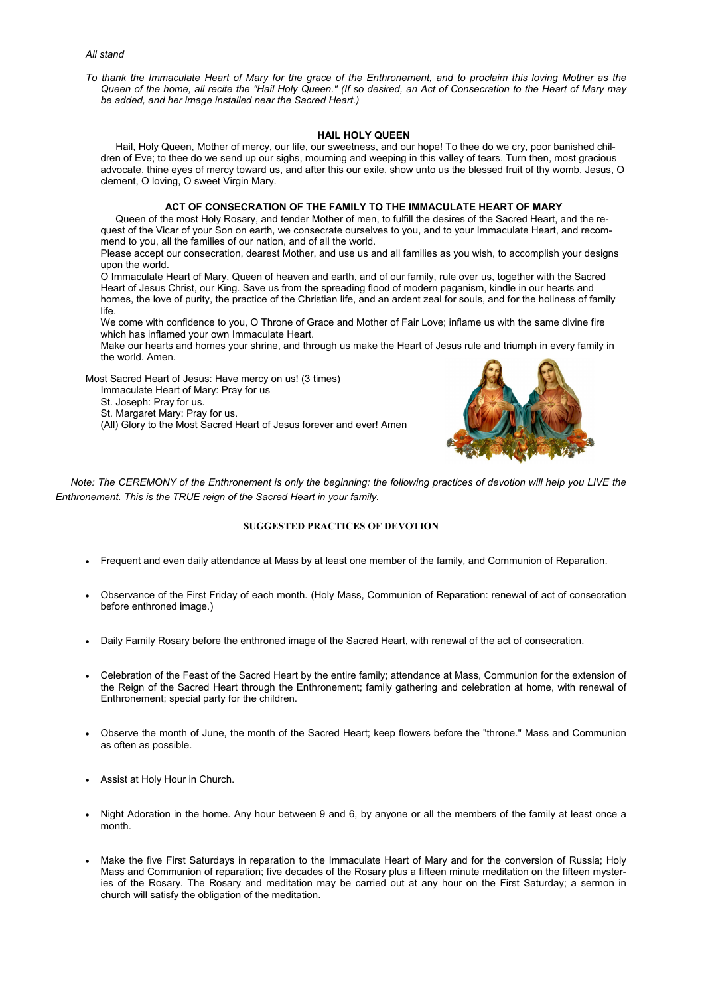*All stand*

*To thank the Immaculate Heart of Mary for the grace of the Enthronement, and to proclaim this loving Mother as the Queen of the home, all recite the "Hail Holy Queen." (If so desired, an Act of Consecration to the Heart of Mary may be added, and her image installed near the Sacred Heart.)* 

#### **HAIL HOLY QUEEN**

Hail, Holy Queen, Mother of mercy, our life, our sweetness, and our hope! To thee do we cry, poor banished children of Eve; to thee do we send up our sighs, mourning and weeping in this valley of tears. Turn then, most gracious advocate, thine eyes of mercy toward us, and after this our exile, show unto us the blessed fruit of thy womb, Jesus, O clement, O loving, O sweet Virgin Mary.

# **ACT OF CONSECRATION OF THE FAMILY TO THE IMMACULATE HEART OF MARY**

Queen of the most Holy Rosary, and tender Mother of men, to fulfill the desires of the Sacred Heart, and the request of the Vicar of your Son on earth, we consecrate ourselves to you, and to your Immaculate Heart, and recommend to you, all the families of our nation, and of all the world.

Please accept our consecration, dearest Mother, and use us and all families as you wish, to accomplish your designs upon the world.

O Immaculate Heart of Mary, Queen of heaven and earth, and of our family, rule over us, together with the Sacred Heart of Jesus Christ, our King. Save us from the spreading flood of modern paganism, kindle in our hearts and homes, the love of purity, the practice of the Christian life, and an ardent zeal for souls, and for the holiness of family life.

We come with confidence to you, O Throne of Grace and Mother of Fair Love; inflame us with the same divine fire which has inflamed your own Immaculate Heart.

Make our hearts and homes your shrine, and through us make the Heart of Jesus rule and triumph in every family in the world. Amen.

Most Sacred Heart of Jesus: Have mercy on us! (3 times)

Immaculate Heart of Mary: Pray for us

St. Joseph: Pray for us.

St. Margaret Mary: Pray for us.

(All) Glory to the Most Sacred Heart of Jesus forever and ever! Amen



*Note: The CEREMONY of the Enthronement is only the beginning: the following practices of devotion will help you LIVE the Enthronement. This is the TRUE reign of the Sacred Heart in your family.* 

# **SUGGESTED PRACTICES OF DEVOTION**

- Frequent and even daily attendance at Mass by at least one member of the family, and Communion of Reparation.
- Observance of the First Friday of each month. (Holy Mass, Communion of Reparation: renewal of act of consecration before enthroned image.)
- Daily Family Rosary before the enthroned image of the Sacred Heart, with renewal of the act of consecration.
- Celebration of the Feast of the Sacred Heart by the entire family; attendance at Mass, Communion for the extension of the Reign of the Sacred Heart through the Enthronement; family gathering and celebration at home, with renewal of Enthronement; special party for the children.
- Observe the month of June, the month of the Sacred Heart; keep flowers before the "throne." Mass and Communion as often as possible.
- Assist at Holy Hour in Church.
- Night Adoration in the home. Any hour between 9 and 6, by anyone or all the members of the family at least once a month.
- Make the five First Saturdays in reparation to the Immaculate Heart of Mary and for the conversion of Russia; Holy Mass and Communion of reparation; five decades of the Rosary plus a fifteen minute meditation on the fifteen mysteries of the Rosary. The Rosary and meditation may be carried out at any hour on the First Saturday; a sermon in church will satisfy the obligation of the meditation.